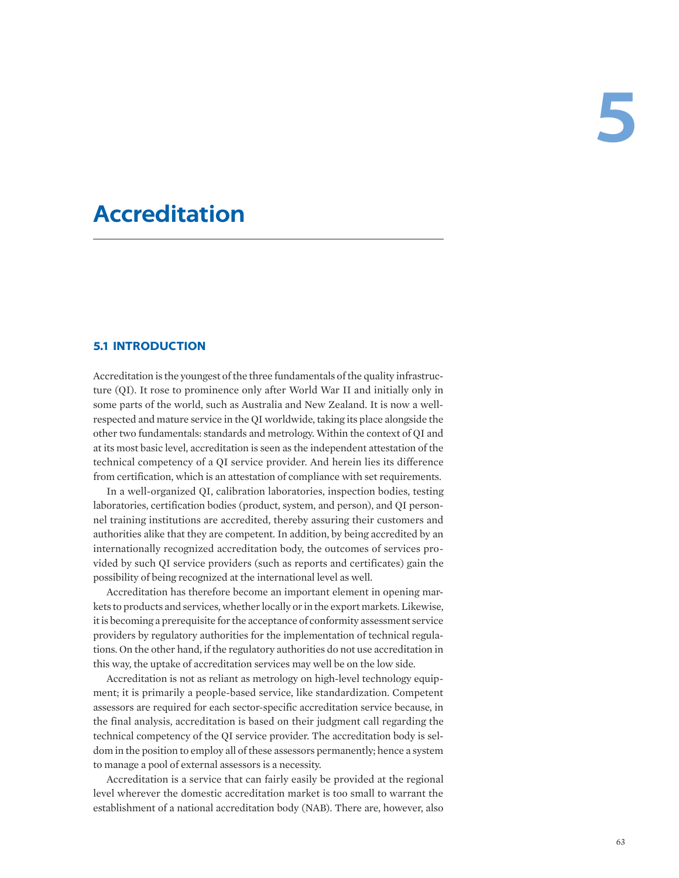# **Accreditation**

#### **5.1 INTRODUCTION**

Accreditation is the youngest of the three fundamentals of the quality infrastructure (QI). It rose to prominence only after World War II and initially only in some parts of the world, such as Australia and New Zealand. It is now a wellrespected and mature service in the QI worldwide, taking its place alongside the other two fundamentals: standards and metrology. Within the context of QI and at its most basic level, accreditation is seen as the independent attestation of the technical competency of a QI service provider. And herein lies its difference from certification, which is an attestation of compliance with set requirements.

In a well-organized QI, calibration laboratories, inspection bodies, testing laboratories, certification bodies (product, system, and person), and QI personnel training institutions are accredited, thereby assuring their customers and authorities alike that they are competent. In addition, by being accredited by an internationally recognized accreditation body, the outcomes of services provided by such QI service providers (such as reports and certificates) gain the possibility of being recognized at the international level as well.

Accreditation has therefore become an important element in opening markets to products and services, whether locally or in the export markets. Likewise, it is becoming a prerequisite for the acceptance of conformity assessment service providers by regulatory authorities for the implementation of technical regulations. On the other hand, if the regulatory authorities do not use accreditation in this way, the uptake of accreditation services may well be on the low side.

Accreditation is not as reliant as metrology on high-level technology equipment; it is primarily a people-based service, like standardization. Competent assessors are required for each sector-specific accreditation service because, in the final analysis, accreditation is based on their judgment call regarding the technical competency of the QI service provider. The accreditation body is seldom in the position to employ all of these assessors permanently; hence a system to manage a pool of external assessors is a necessity.

Accreditation is a service that can fairly easily be provided at the regional level wherever the domestic accreditation market is too small to warrant the establishment of a national accreditation body (NAB). There are, however, also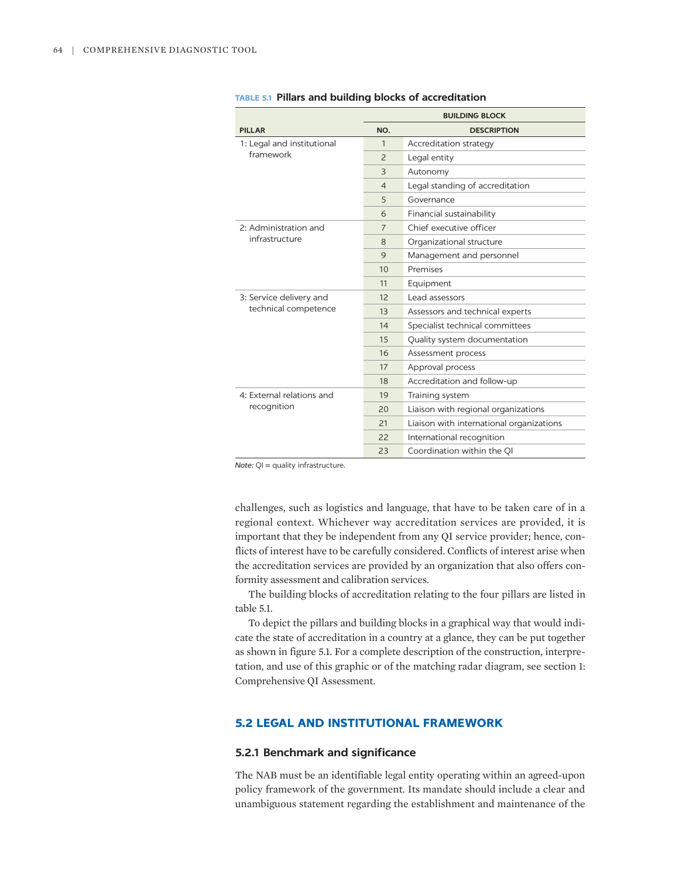|                            |                | <b>BUILDING BLOCK</b>                    |
|----------------------------|----------------|------------------------------------------|
| <b>PILLAR</b>              | NO.            | <b>DESCRIPTION</b>                       |
| 1: Legal and institutional | 1              | Accreditation strategy                   |
| framework                  | $\overline{2}$ | Legal entity                             |
|                            | 3              | Autonomy                                 |
|                            | $\overline{4}$ | Legal standing of accreditation          |
|                            | 5              | Governance                               |
|                            | 6              | Financial sustainability                 |
| 2: Administration and      | $\overline{7}$ | Chief executive officer                  |
| infrastructure             | 8              | Organizational structure                 |
|                            | $\mathsf{Q}$   | Management and personnel                 |
|                            | 10             | Premises                                 |
|                            | 11             | Equipment                                |
| 3: Service delivery and    | 12             | Lead assessors                           |
| technical competence       | 13             | Assessors and technical experts          |
|                            | 14             | Specialist technical committees          |
|                            | 15             | Quality system documentation             |
|                            | 16             | Assessment process                       |
|                            | 17             | Approval process                         |
|                            | 18             | Accreditation and follow-up              |
| 4: External relations and  | 19             | Training system                          |
| recognition                | 20             | Liaison with regional organizations      |
|                            | 21             | Liaison with international organizations |
|                            | 22             | International recognition                |
|                            | 23             | Coordination within the OI               |

|  |  |  |  |  |  | <b>TABLE 5.1 Pillars and building blocks of accreditation</b> |
|--|--|--|--|--|--|---------------------------------------------------------------|
|--|--|--|--|--|--|---------------------------------------------------------------|

*Note:* QI = quality infrastructure.

challenges, such as logistics and language, that have to be taken care of in a regional context. Whichever way accreditation services are provided, it is important that they be independent from any QI service provider; hence, conflicts of interest have to be carefully considered. Conflicts of interest arise when the accreditation services are provided by an organization that also offers conformity assessment and calibration services.

The building blocks of accreditation relating to the four pillars are listed in table 5.1.

To depict the pillars and building blocks in a graphical way that would indicate the state of accreditation in a country at a glance, they can be put together as shown in figure 5.1. For a complete description of the construction, interpretation, and use of this graphic or of the matching radar diagram, see section 1: Comprehensive QI Assessment.

#### **5.2 LEGAL AND INSTITUTIONAL FRAMEWORK**

#### **5.2.1 Benchmark and significance**

The NAB must be an identifiable legal entity operating within an agreed-upon policy framework of the government. Its mandate should include a clear and unambiguous statement regarding the establishment and maintenance of the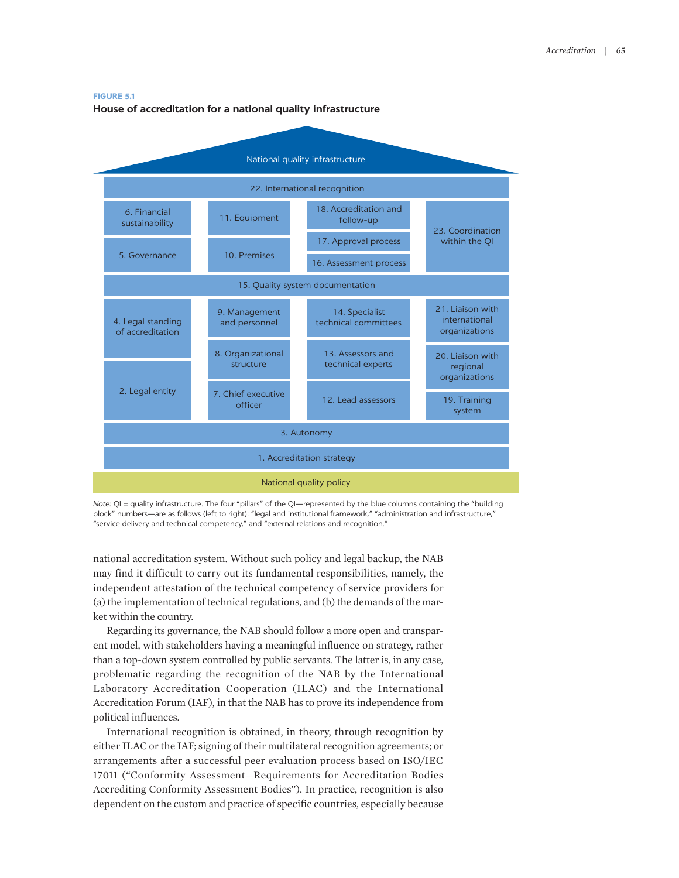#### **FIGURE 5.1**

#### **House of accreditation for a national quality infrastructure**



*Note:* QI = quality infrastructure. The four "pillars" of the QI—represented by the blue columns containing the "building block" numbers—are as follows (left to right): "legal and institutional framework," "administration and infrastructure," "service delivery and technical competency," and "external relations and recognition."

national accreditation system. Without such policy and legal backup, the NAB may find it difficult to carry out its fundamental responsibilities, namely, the independent attestation of the technical competency of service providers for (a) the implementation of technical regulations, and (b) the demands of the market within the country.

Regarding its governance, the NAB should follow a more open and transparent model, with stakeholders having a meaningful influence on strategy, rather than a top-down system controlled by public servants. The latter is, in any case, problematic regarding the recognition of the NAB by the International Laboratory Accreditation Cooperation (ILAC) and the International Accreditation Forum (IAF), in that the NAB has to prove its independence from political influences.

International recognition is obtained, in theory, through recognition by either ILAC or the IAF; signing of their multilateral recognition agreements; or arrangements after a successful peer evaluation process based on ISO/IEC 17011 ("Conformity Assessment—Requirements for Accreditation Bodies Accrediting Conformity Assessment Bodies"). In practice, recognition is also dependent on the custom and practice of specific countries, especially because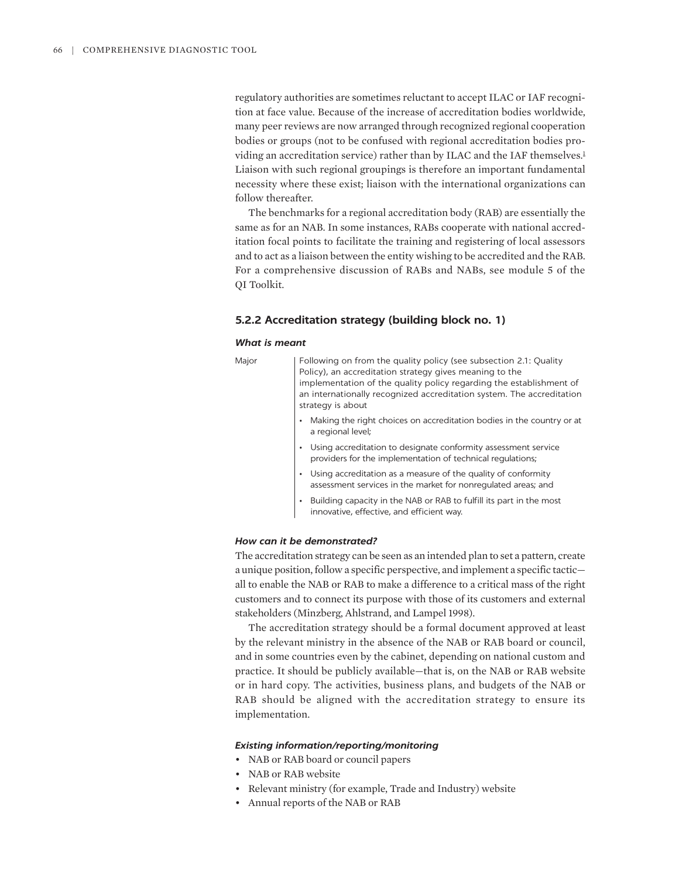<span id="page-3-0"></span>regulatory authorities are sometimes reluctant to accept ILAC or IAF recognition at face value. Because of the increase of accreditation bodies worldwide, many peer reviews are now arranged through recognized regional cooperation bodies or groups (not to be confused with regional accreditation bodies pro-viding an accreditation service) rather than by ILAC and the IAF themselves.<sup>[1](#page-20-0)</sup> Liaison with such regional groupings is therefore an important fundamental necessity where these exist; liaison with the international organizations can follow thereafter.

The benchmarks for a regional accreditation body (RAB) are essentially the same as for an NAB. In some instances, RABs cooperate with national accreditation focal points to facilitate the training and registering of local assessors and to act as a liaison between the entity wishing to be accredited and the RAB. For a comprehensive discussion of RABs and NABs, see module 5 of the QI Toolkit.

#### **5.2.2 Accreditation strategy (building block no. 1)**

#### *What is meant*

| Major | Following on from the quality policy (see subsection 2.1: Quality<br>Policy), an accreditation strategy gives meaning to the<br>implementation of the quality policy regarding the establishment of<br>an internationally recognized accreditation system. The accreditation<br>strategy is about |
|-------|---------------------------------------------------------------------------------------------------------------------------------------------------------------------------------------------------------------------------------------------------------------------------------------------------|
|       | Making the right choices on accreditation bodies in the country or at<br>a regional level;                                                                                                                                                                                                        |
|       | Using accreditation to designate conformity assessment service<br>providers for the implementation of technical regulations;                                                                                                                                                                      |
|       | Using accreditation as a measure of the quality of conformity<br>assessment services in the market for nonregulated areas; and                                                                                                                                                                    |
|       | Building capacity in the NAB or RAB to fulfill its part in the most<br>innovative, effective, and efficient way.                                                                                                                                                                                  |

#### *How can it be demonstrated?*

The accreditation strategy can be seen as an intended plan to set a pattern, create a unique position, follow a specific perspective, and implement a specific tactic all to enable the NAB or RAB to make a difference to a critical mass of the right customers and to connect its purpose with those of its customers and external stakeholders (Minzberg, Ahlstrand, and Lampel 1998).

The accreditation strategy should be a formal document approved at least by the relevant ministry in the absence of the NAB or RAB board or council, and in some countries even by the cabinet, depending on national custom and practice. It should be publicly available—that is, on the NAB or RAB website or in hard copy. The activities, business plans, and budgets of the NAB or RAB should be aligned with the accreditation strategy to ensure its implementation.

#### *Existing information/reporting/monitoring*

- NAB or RAB board or council papers
- NAB or RAB website
- Relevant ministry (for example, Trade and Industry) website
- Annual reports of the NAB or RAB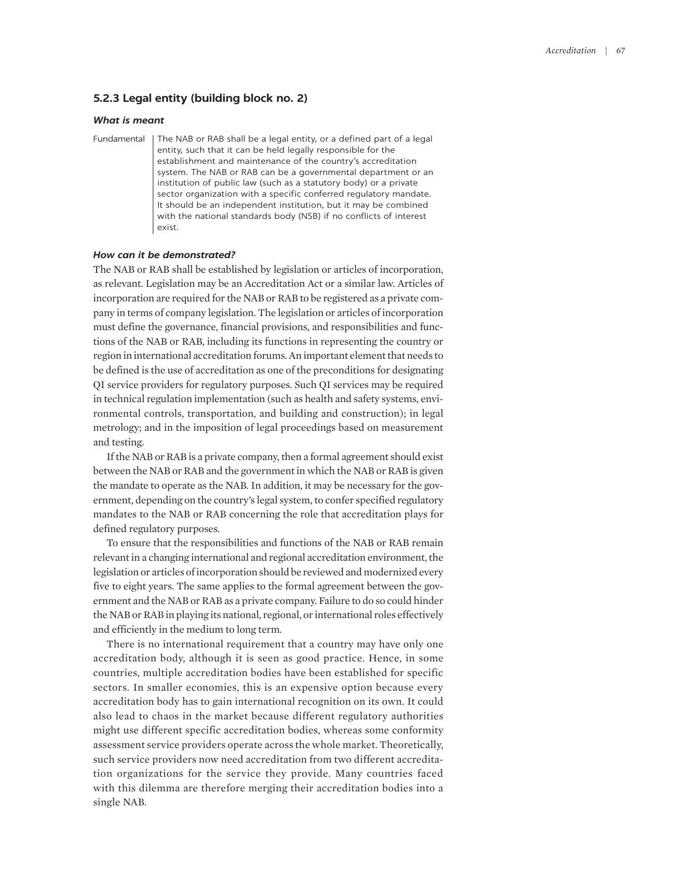#### **5.2.3 Legal entity (building block no. 2)**

#### *What is meant*

Fundamental | The NAB or RAB shall be a legal entity, or a defined part of a legal entity, such that it can be held legally responsible for the establishment and maintenance of the country's accreditation system. The NAB or RAB can be a governmental department or an institution of public law (such as a statutory body) or a private sector organization with a specific conferred regulatory mandate. It should be an independent institution, but it may be combined with the national standards body (NSB) if no conflicts of interest exist.

#### *How can it be demonstrated?*

The NAB or RAB shall be established by legislation or articles of incorporation, as relevant. Legislation may be an Accreditation Act or a similar law. Articles of incorporation are required for the NAB or RAB to be registered as a private company in terms of company legislation. The legislation or articles of incorporation must define the governance, financial provisions, and responsibilities and functions of the NAB or RAB, including its functions in representing the country or region in international accreditation forums. An important element that needs to be defined is the use of accreditation as one of the preconditions for designating QI service providers for regulatory purposes. Such QI services may be required in technical regulation implementation (such as health and safety systems, environmental controls, transportation, and building and construction); in legal metrology; and in the imposition of legal proceedings based on measurement and testing.

If the NAB or RAB is a private company, then a formal agreement should exist between the NAB or RAB and the government in which the NAB or RAB is given the mandate to operate as the NAB. In addition, it may be necessary for the government, depending on the country's legal system, to confer specified regulatory mandates to the NAB or RAB concerning the role that accreditation plays for defined regulatory purposes.

To ensure that the responsibilities and functions of the NAB or RAB remain relevant in a changing international and regional accreditation environment, the legislation or articles of incorporation should be reviewed and modernized every five to eight years. The same applies to the formal agreement between the government and the NAB or RAB as a private company. Failure to do so could hinder the NAB or RAB in playing its national, regional, or international roles effectively and efficiently in the medium to long term.

There is no international requirement that a country may have only one accreditation body, although it is seen as good practice. Hence, in some countries, multiple accreditation bodies have been established for specific sectors. In smaller economies, this is an expensive option because every accreditation body has to gain international recognition on its own. It could also lead to chaos in the market because different regulatory authorities might use different specific accreditation bodies, whereas some conformity assessment service providers operate across the whole market. Theoretically, such service providers now need accreditation from two different accreditation organizations for the service they provide. Many countries faced with this dilemma are therefore merging their accreditation bodies into a single NAB.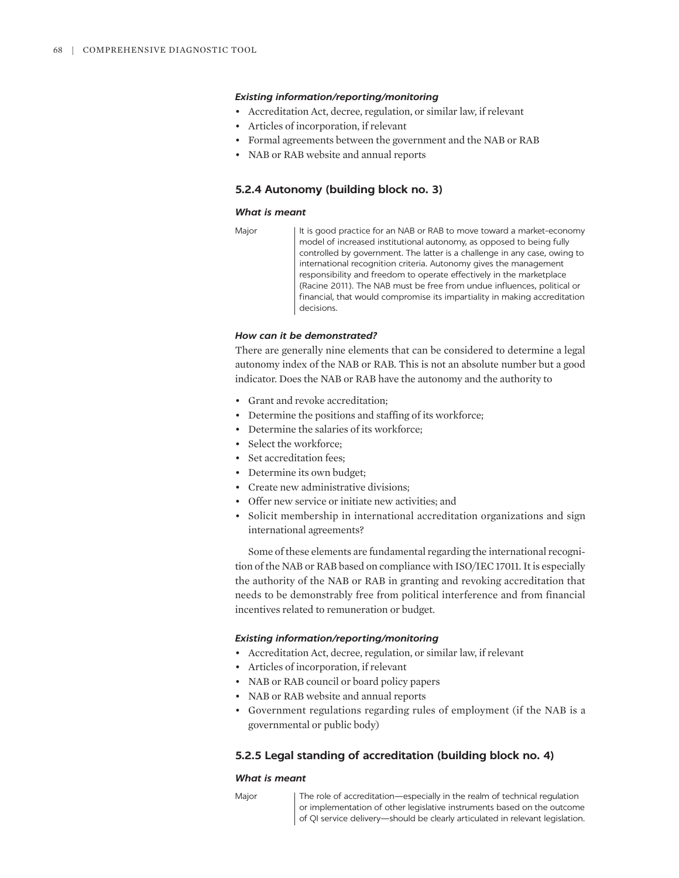- Accreditation Act, decree, regulation, or similar law, if relevant
- Articles of incorporation, if relevant
- Formal agreements between the government and the NAB or RAB
- NAB or RAB website and annual reports

#### **5.2.4 Autonomy (building block no. 3)**

#### *What is meant*

```
Major | It is good practice for an NAB or RAB to move toward a market-economy
   model of increased institutional autonomy, as opposed to being fully 
   controlled by government. The latter is a challenge in any case, owing to 
   international recognition criteria. Autonomy gives the management 
   responsibility and freedom to operate effectively in the marketplace 
    (Racine 2011). The NAB must be free from undue influences, political or 
   financial, that would compromise its impartiality in making accreditation 
   decisions.
```
#### *How can it be demonstrated?*

There are generally nine elements that can be considered to determine a legal autonomy index of the NAB or RAB. This is not an absolute number but a good indicator. Does the NAB or RAB have the autonomy and the authority to

- Grant and revoke accreditation;
- Determine the positions and staffing of its workforce;
- Determine the salaries of its workforce;
- Select the workforce;
- Set accreditation fees;
- Determine its own budget;
- Create new administrative divisions;
- Offer new service or initiate new activities; and
- Solicit membership in international accreditation organizations and sign international agreements?

Some of these elements are fundamental regarding the international recognition of the NAB or RAB based on compliance with ISO/IEC 17011. It is especially the authority of the NAB or RAB in granting and revoking accreditation that needs to be demonstrably free from political interference and from financial incentives related to remuneration or budget.

#### *Existing information/reporting/monitoring*

- Accreditation Act, decree, regulation, or similar law, if relevant
- Articles of incorporation, if relevant
- NAB or RAB council or board policy papers
- NAB or RAB website and annual reports
- Government regulations regarding rules of employment (if the NAB is a governmental or public body)

#### **5.2.5 Legal standing of accreditation (building block no. 4)**

#### *What is meant*

Major The role of accreditation—especially in the realm of technical regulation or implementation of other legislative instruments based on the outcome of QI service delivery—should be clearly articulated in relevant legislation.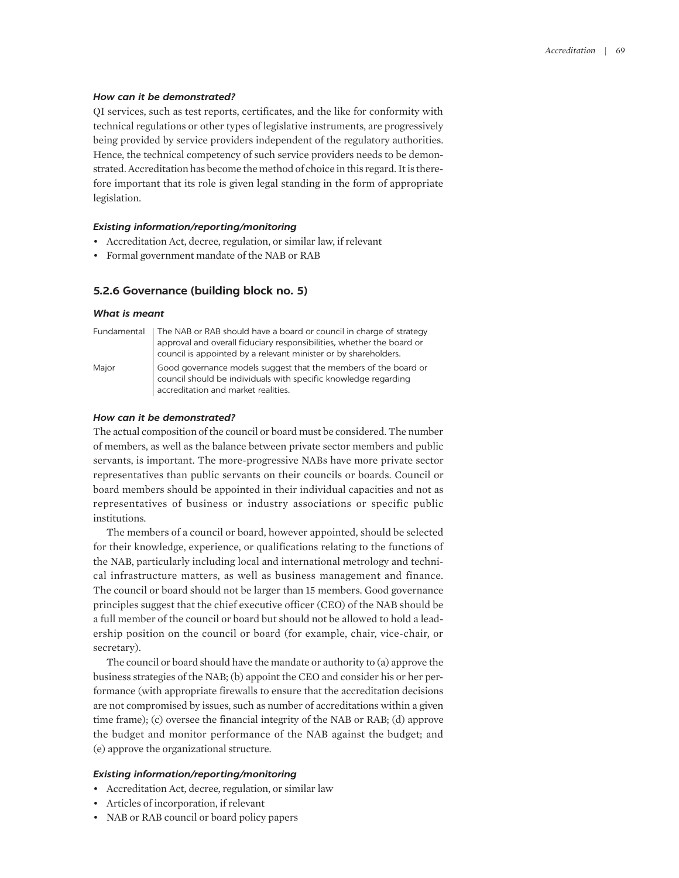#### *How can it be demonstrated?*

QI services, such as test reports, certificates, and the like for conformity with technical regulations or other types of legislative instruments, are progressively being provided by service providers independent of the regulatory authorities. Hence, the technical competency of such service providers needs to be demonstrated. Accreditation has become the method of choice in this regard. It is therefore important that its role is given legal standing in the form of appropriate legislation.

#### *Existing information/reporting/monitoring*

- Accreditation Act, decree, regulation, or similar law, if relevant
- Formal government mandate of the NAB or RAB

#### **5.2.6 Governance (building block no. 5)**

#### *What is meant*

|       | Fundamental   The NAB or RAB should have a board or council in charge of strategy<br>approval and overall fiduciary responsibilities, whether the board or<br>council is appointed by a relevant minister or by shareholders. |
|-------|-------------------------------------------------------------------------------------------------------------------------------------------------------------------------------------------------------------------------------|
| Major | Good governance models suggest that the members of the board or<br>council should be individuals with specific knowledge regarding<br>accreditation and market realities.                                                     |

#### *How can it be demonstrated?*

The actual composition of the council or board must be considered. The number of members, as well as the balance between private sector members and public servants, is important. The more-progressive NABs have more private sector representatives than public servants on their councils or boards. Council or board members should be appointed in their individual capacities and not as representatives of business or industry associations or specific public institutions.

The members of a council or board, however appointed, should be selected for their knowledge, experience, or qualifications relating to the functions of the NAB, particularly including local and international metrology and technical infrastructure matters, as well as business management and finance. The council or board should not be larger than 15 members. Good governance principles suggest that the chief executive officer (CEO) of the NAB should be a full member of the council or board but should not be allowed to hold a leadership position on the council or board (for example, chair, vice-chair, or secretary).

The council or board should have the mandate or authority to (a) approve the business strategies of the NAB; (b) appoint the CEO and consider his or her performance (with appropriate firewalls to ensure that the accreditation decisions are not compromised by issues, such as number of accreditations within a given time frame); (c) oversee the financial integrity of the NAB or RAB; (d) approve the budget and monitor performance of the NAB against the budget; and (e) approve the organizational structure.

#### *Existing information/reporting/monitoring*

- Accreditation Act, decree, regulation, or similar law
- Articles of incorporation, if relevant
- NAB or RAB council or board policy papers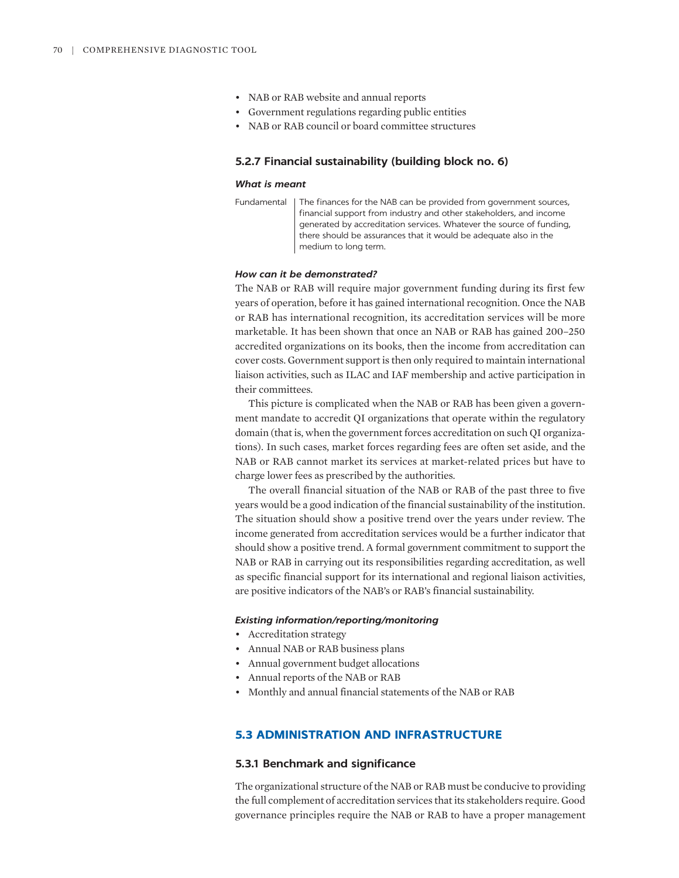- NAB or RAB website and annual reports
- Government regulations regarding public entities
- NAB or RAB council or board committee structures

#### **5.2.7 Financial sustainability (building block no. 6)**

#### *What is meant*

Fundamental | The finances for the NAB can be provided from government sources, financial support from industry and other stakeholders, and income generated by accreditation services. Whatever the source of funding, there should be assurances that it would be adequate also in the medium to long term.

#### *How can it be demonstrated?*

The NAB or RAB will require major government funding during its first few years of operation, before it has gained international recognition. Once the NAB or RAB has international recognition, its accreditation services will be more marketable. It has been shown that once an NAB or RAB has gained 200–250 accredited organizations on its books, then the income from accreditation can cover costs. Government support is then only required to maintain international liaison activities, such as ILAC and IAF membership and active participation in their committees.

This picture is complicated when the NAB or RAB has been given a government mandate to accredit QI organizations that operate within the regulatory domain (that is, when the government forces accreditation on such QI organizations). In such cases, market forces regarding fees are often set aside, and the NAB or RAB cannot market its services at market-related prices but have to charge lower fees as prescribed by the authorities.

The overall financial situation of the NAB or RAB of the past three to five years would be a good indication of the financial sustainability of the institution. The situation should show a positive trend over the years under review. The income generated from accreditation services would be a further indicator that should show a positive trend. A formal government commitment to support the NAB or RAB in carrying out its responsibilities regarding accreditation, as well as specific financial support for its international and regional liaison activities, are positive indicators of the NAB's or RAB's financial sustainability.

#### *Existing information/reporting/monitoring*

- Accreditation strategy
- Annual NAB or RAB business plans
- Annual government budget allocations
- Annual reports of the NAB or RAB
- Monthly and annual financial statements of the NAB or RAB

#### **5.3 ADMINISTRATION AND INFRASTRUCTURE**

#### **5.3.1 Benchmark and significance**

The organizational structure of the NAB or RAB must be conducive to providing the full complement of accreditation services that its stakeholders require. Good governance principles require the NAB or RAB to have a proper management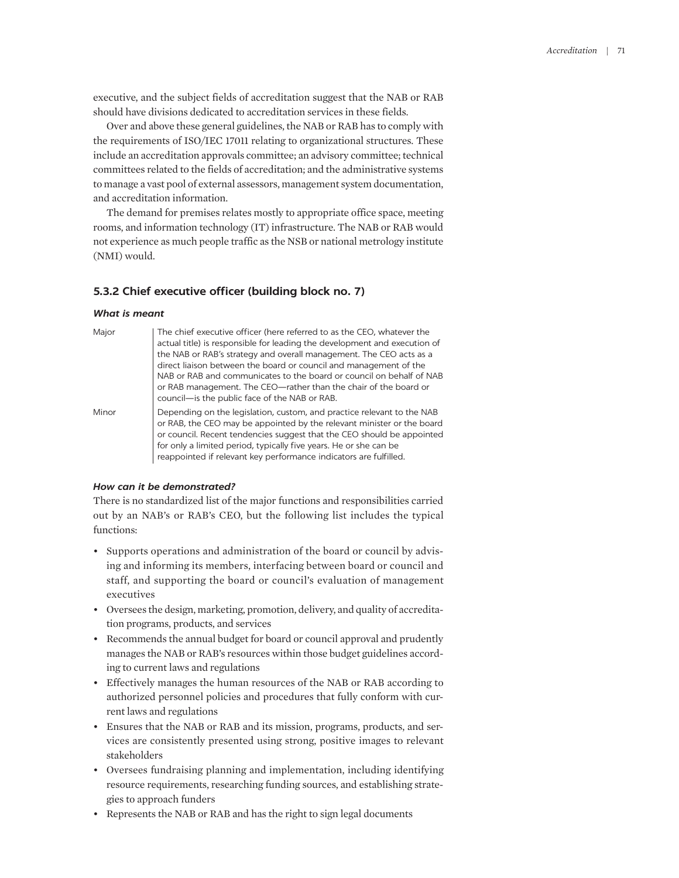executive, and the subject fields of accreditation suggest that the NAB or RAB should have divisions dedicated to accreditation services in these fields.

Over and above these general guidelines, the NAB or RAB has to comply with the requirements of ISO/IEC 17011 relating to organizational structures. These include an accreditation approvals committee; an advisory committee; technical committees related to the fields of accreditation; and the administrative systems to manage a vast pool of external assessors, management system documentation, and accreditation information.

The demand for premises relates mostly to appropriate office space, meeting rooms, and information technology (IT) infrastructure. The NAB or RAB would not experience as much people traffic as the NSB or national metrology institute (NMI) would.

#### **5.3.2 Chief executive officer (building block no. 7)**

#### *What is meant*

| Major | The chief executive officer (here referred to as the CEO, whatever the<br>actual title) is responsible for leading the development and execution of<br>the NAB or RAB's strategy and overall management. The CEO acts as a<br>direct liaison between the board or council and management of the<br>NAB or RAB and communicates to the board or council on behalf of NAB<br>or RAB management. The CEO—rather than the chair of the board or<br>council-is the public face of the NAB or RAB. |
|-------|----------------------------------------------------------------------------------------------------------------------------------------------------------------------------------------------------------------------------------------------------------------------------------------------------------------------------------------------------------------------------------------------------------------------------------------------------------------------------------------------|
| Minor | Depending on the legislation, custom, and practice relevant to the NAB<br>or RAB, the CEO may be appointed by the relevant minister or the board<br>or council. Recent tendencies suggest that the CEO should be appointed<br>for only a limited period, typically five years. He or she can be<br>reappointed if relevant key performance indicators are fulfilled.                                                                                                                         |

#### *How can it be demonstrated?*

There is no standardized list of the major functions and responsibilities carried out by an NAB's or RAB's CEO, but the following list includes the typical functions:

- Supports operations and administration of the board or council by advising and informing its members, interfacing between board or council and staff, and supporting the board or council's evaluation of management executives
- Oversees the design, marketing, promotion, delivery, and quality of accreditation programs, products, and services
- Recommends the annual budget for board or council approval and prudently manages the NAB or RAB's resources within those budget guidelines according to current laws and regulations
- Effectively manages the human resources of the NAB or RAB according to authorized personnel policies and procedures that fully conform with current laws and regulations
- Ensures that the NAB or RAB and its mission, programs, products, and services are consistently presented using strong, positive images to relevant stakeholders
- Oversees fundraising planning and implementation, including identifying resource requirements, researching funding sources, and establishing strategies to approach funders
- Represents the NAB or RAB and has the right to sign legal documents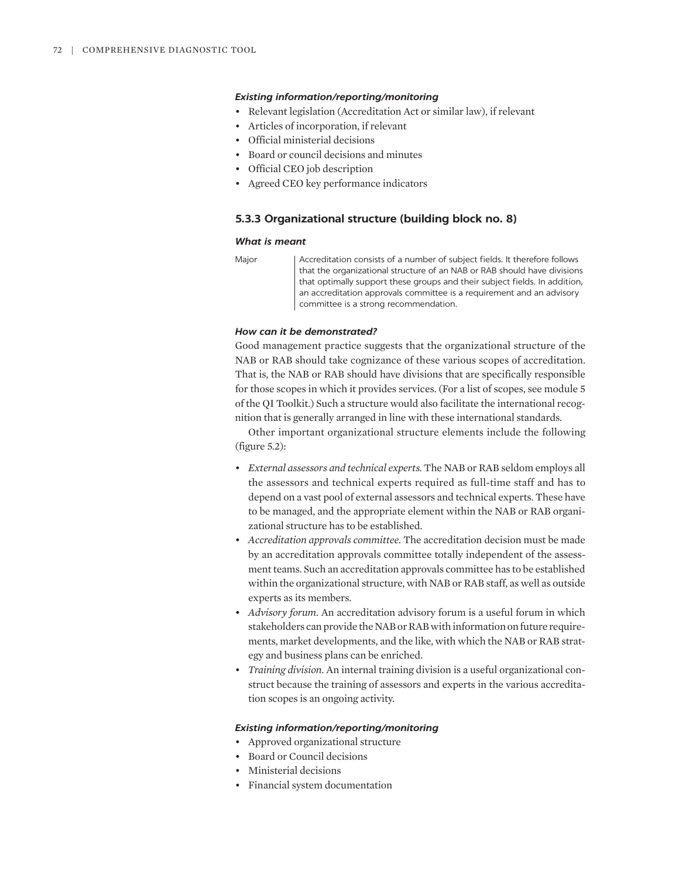- Relevant legislation (Accreditation Act or similar law), if relevant
- Articles of incorporation, if relevant
- Official ministerial decisions
- Board or council decisions and minutes
- Official CEO job description
- Agreed CEO key performance indicators

#### **5.3.3 Organizational structure (building block no. 8)**

#### *What is meant*

Major | Accreditation consists of a number of subject fields. It therefore follows that the organizational structure of an NAB or RAB should have divisions that optimally support these groups and their subject fields. In addition, an accreditation approvals committee is a requirement and an advisory committee is a strong recommendation.

#### *How can it be demonstrated?*

Good management practice suggests that the organizational structure of the NAB or RAB should take cognizance of these various scopes of accreditation. That is, the NAB or RAB should have divisions that are specifically responsible for those scopes in which it provides services. (For a list of scopes, see module 5 of the QI Toolkit.) Such a structure would also facilitate the international recognition that is generally arranged in line with these international standards.

Other important organizational structure elements include the following (figure 5.2):

- *External assessors and technical experts.* The NAB or RAB seldom employs all the assessors and technical experts required as full-time staff and has to depend on a vast pool of external assessors and technical experts. These have to be managed, and the appropriate element within the NAB or RAB organizational structure has to be established.
- *Accreditation approvals committee.* The accreditation decision must be made by an accreditation approvals committee totally independent of the assessment teams. Such an accreditation approvals committee has to be established within the organizational structure, with NAB or RAB staff, as well as outside experts as its members.
- *Advisory forum.* An accreditation advisory forum is a useful forum in which stakeholders can provide the NAB or RAB with information on future requirements, market developments, and the like, with which the NAB or RAB strategy and business plans can be enriched.
- *Training division.* An internal training division is a useful organizational construct because the training of assessors and experts in the various accreditation scopes is an ongoing activity.

#### *Existing information/reporting/monitoring*

- Approved organizational structure
- Board or Council decisions
- Ministerial decisions
- Financial system documentation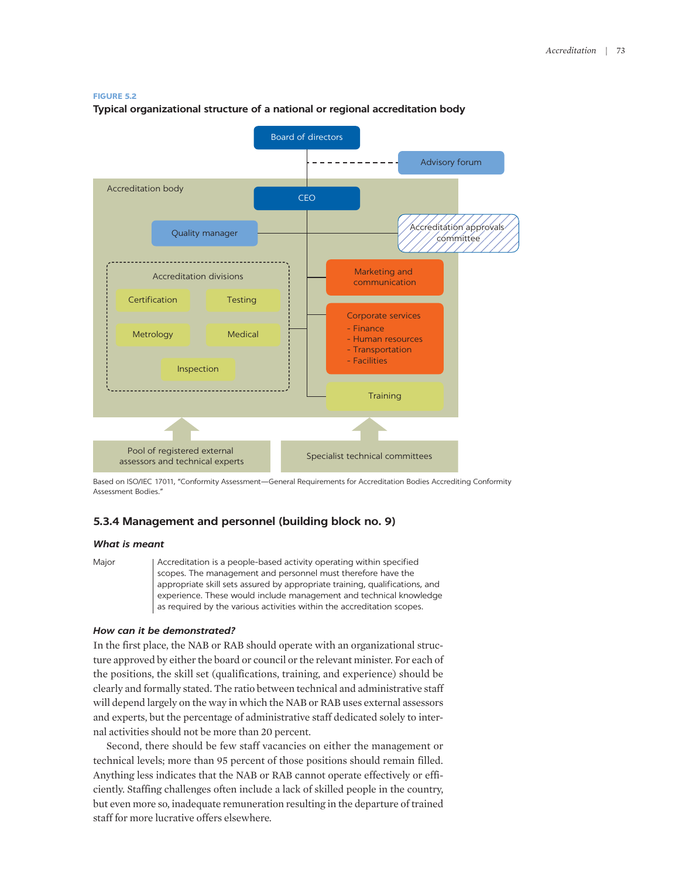#### **FIGURE 5.2**

**Typical organizational structure of a national or regional accreditation body**



Based on ISO/IEC 17011, "Conformity Assessment—General Requirements for Accreditation Bodies Accrediting Conformity Assessment Bodies."

#### **5.3.4 Management and personnel (building block no. 9)**

#### *What is meant*

Major | Accreditation is a people-based activity operating within specified scopes. The management and personnel must therefore have the appropriate skill sets assured by appropriate training, qualifications, and experience. These would include management and technical knowledge as required by the various activities within the accreditation scopes.

#### *How can it be demonstrated?*

In the first place, the NAB or RAB should operate with an organizational structure approved by either the board or council or the relevant minister. For each of the positions, the skill set (qualifications, training, and experience) should be clearly and formally stated. The ratio between technical and administrative staff will depend largely on the way in which the NAB or RAB uses external assessors and experts, but the percentage of administrative staff dedicated solely to internal activities should not be more than 20 percent.

Second, there should be few staff vacancies on either the management or technical levels; more than 95 percent of those positions should remain filled. Anything less indicates that the NAB or RAB cannot operate effectively or efficiently. Staffing challenges often include a lack of skilled people in the country, but even more so, inadequate remuneration resulting in the departure of trained staff for more lucrative offers elsewhere.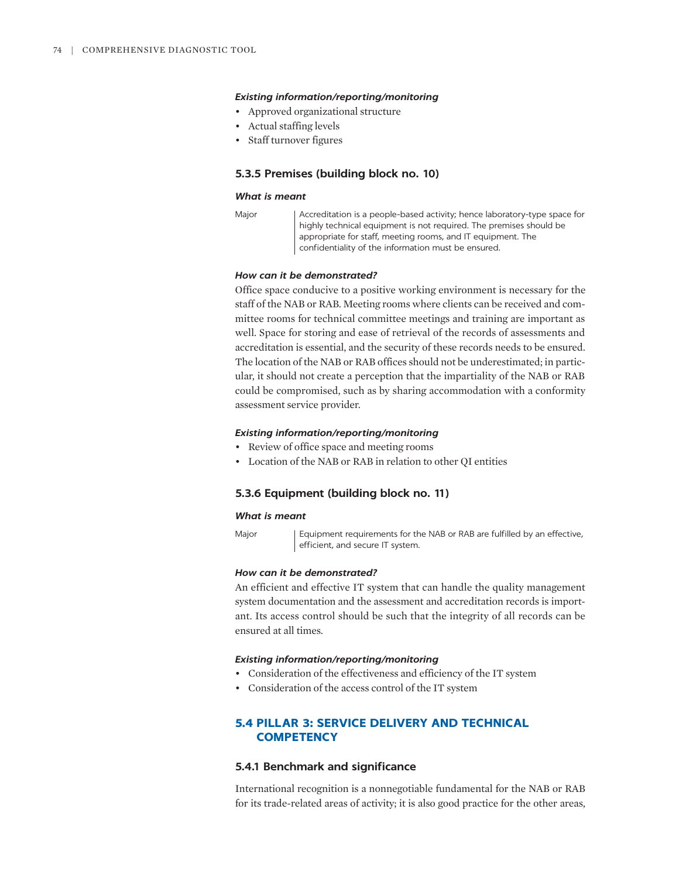- Approved organizational structure
- Actual staffing levels
- Staff turnover figures

#### **5.3.5 Premises (building block no. 10)**

#### *What is meant*

Major | Accreditation is a people-based activity; hence laboratory-type space for highly technical equipment is not required. The premises should be appropriate for staff, meeting rooms, and IT equipment. The confidentiality of the information must be ensured.

#### *How can it be demonstrated?*

Office space conducive to a positive working environment is necessary for the staff of the NAB or RAB. Meeting rooms where clients can be received and committee rooms for technical committee meetings and training are important as well. Space for storing and ease of retrieval of the records of assessments and accreditation is essential, and the security of these records needs to be ensured. The location of the NAB or RAB offices should not be underestimated; in particular, it should not create a perception that the impartiality of the NAB or RAB could be compromised, such as by sharing accommodation with a conformity assessment service provider.

#### *Existing information/reporting/monitoring*

- Review of office space and meeting rooms
- Location of the NAB or RAB in relation to other QI entities

#### **5.3.6 Equipment (building block no. 11)**

efficient, and secure IT system.

#### *What is meant*

Major | Equipment requirements for the NAB or RAB are fulfilled by an effective,

## *How can it be demonstrated?*

An efficient and effective IT system that can handle the quality management system documentation and the assessment and accreditation records is important. Its access control should be such that the integrity of all records can be ensured at all times.

#### *Existing information/reporting/monitoring*

- Consideration of the effectiveness and efficiency of the IT system
- Consideration of the access control of the IT system

### **5.4 PILLAR 3: SERVICE DELIVERY AND TECHNICAL COMPETENCY**

#### **5.4.1 Benchmark and significance**

International recognition is a nonnegotiable fundamental for the NAB or RAB for its trade-related areas of activity; it is also good practice for the other areas,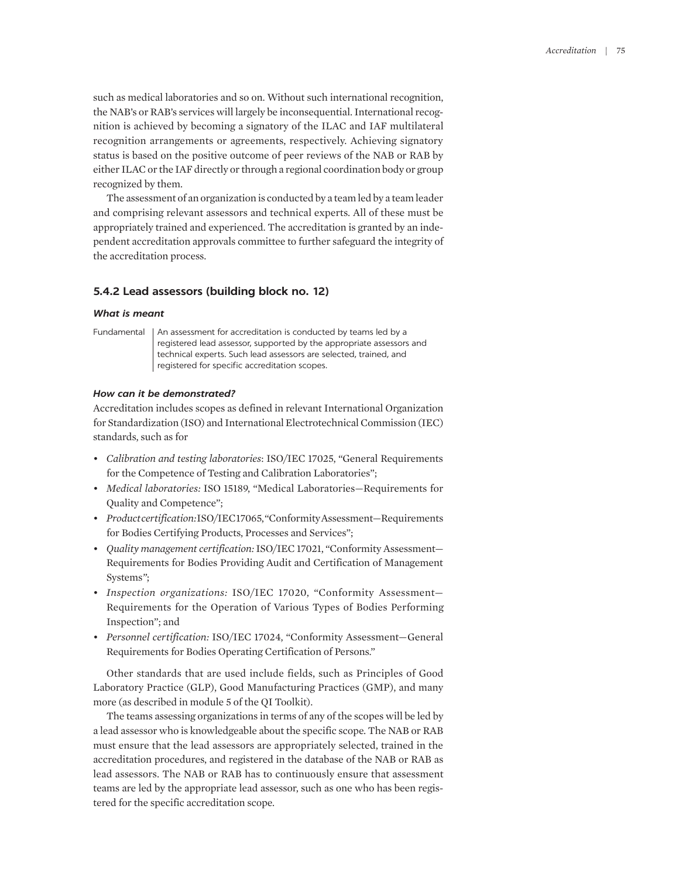such as medical laboratories and so on. Without such international recognition, the NAB's or RAB's services will largely be inconsequential. International recognition is achieved by becoming a signatory of the ILAC and IAF multilateral recognition arrangements or agreements, respectively. Achieving signatory status is based on the positive outcome of peer reviews of the NAB or RAB by either ILAC or the IAF directly or through a regional coordination body or group recognized by them.

The assessment of an organization is conducted by a team led by a team leader and comprising relevant assessors and technical experts. All of these must be appropriately trained and experienced. The accreditation is granted by an independent accreditation approvals committee to further safeguard the integrity of the accreditation process.

#### **5.4.2 Lead assessors (building block no. 12)**

#### *What is meant*

Fundamental | An assessment for accreditation is conducted by teams led by a registered lead assessor, supported by the appropriate assessors and technical experts. Such lead assessors are selected, trained, and registered for specific accreditation scopes.

#### *How can it be demonstrated?*

Accreditation includes scopes as defined in relevant International Organization for Standardization (ISO) and International Electrotechnical Commission (IEC) standards, such as for

- *Calibration and testing laboratories*: ISO/IEC 17025, "General Requirements for the Competence of Testing and Calibration Laboratories";
- *Medical laboratories:* ISO 15189, "Medical Laboratories—Requirements for Quality and Competence";
- *Product certification:* ISO/IEC 17065, "Conformity Assessment—Requirements for Bodies Certifying Products, Processes and Services";
- *Quality management certification:* ISO/IEC 17021, "Conformity Assessment— Requirements for Bodies Providing Audit and Certification of Management Systems*"*;
- *Inspection organizations:* ISO/IEC 17020, "Conformity Assessment— Requirements for the Operation of Various Types of Bodies Performing Inspection"; and
- *Personnel certification:* ISO/IEC 17024, "Conformity Assessment—General Requirements for Bodies Operating Certification of Persons."

Other standards that are used include fields, such as Principles of Good Laboratory Practice (GLP), Good Manufacturing Practices (GMP), and many more (as described in module 5 of the QI Toolkit).

The teams assessing organizations in terms of any of the scopes will be led by a lead assessor who is knowledgeable about the specific scope. The NAB or RAB must ensure that the lead assessors are appropriately selected, trained in the accreditation procedures, and registered in the database of the NAB or RAB as lead assessors. The NAB or RAB has to continuously ensure that assessment teams are led by the appropriate lead assessor, such as one who has been registered for the specific accreditation scope.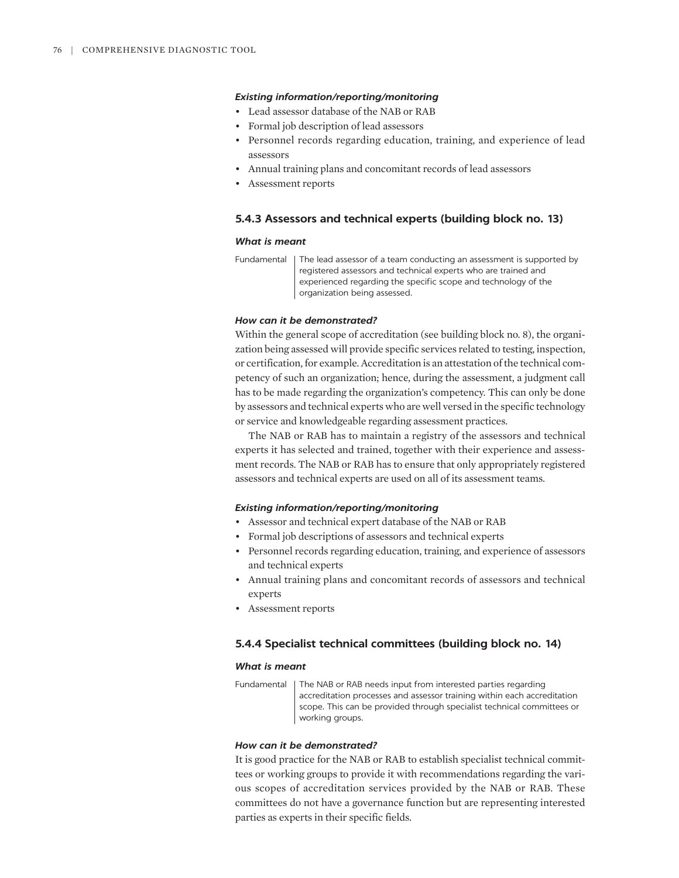- Lead assessor database of the NAB or RAB
- Formal job description of lead assessors
- Personnel records regarding education, training, and experience of lead assessors
- Annual training plans and concomitant records of lead assessors
- Assessment reports

#### **5.4.3 Assessors and technical experts (building block no. 13)**

#### *What is meant*

| Fundamental   The lead assessor of a team conducting an assessment is supported by |
|------------------------------------------------------------------------------------|
| registered assessors and technical experts who are trained and                     |
| experienced regarding the specific scope and technology of the                     |
| organization being assessed.                                                       |

#### *How can it be demonstrated?*

Within the general scope of accreditation (see building block no. 8), the organization being assessed will provide specific services related to testing, inspection, or certification, for example. Accreditation is an attestation of the technical competency of such an organization; hence, during the assessment, a judgment call has to be made regarding the organization's competency. This can only be done by assessors and technical experts who are well versed in the specific technology or service and knowledgeable regarding assessment practices.

The NAB or RAB has to maintain a registry of the assessors and technical experts it has selected and trained, together with their experience and assessment records. The NAB or RAB has to ensure that only appropriately registered assessors and technical experts are used on all of its assessment teams.

#### *Existing information/reporting/monitoring*

- Assessor and technical expert database of the NAB or RAB
- Formal job descriptions of assessors and technical experts
- Personnel records regarding education, training, and experience of assessors and technical experts
- Annual training plans and concomitant records of assessors and technical experts
- Assessment reports

#### **5.4.4 Specialist technical committees (building block no. 14)**

#### *What is meant*

Fundamental | The NAB or RAB needs input from interested parties regarding accreditation processes and assessor training within each accreditation scope. This can be provided through specialist technical committees or working groups.

#### *How can it be demonstrated?*

It is good practice for the NAB or RAB to establish specialist technical committees or working groups to provide it with recommendations regarding the various scopes of accreditation services provided by the NAB or RAB. These committees do not have a governance function but are representing interested parties as experts in their specific fields.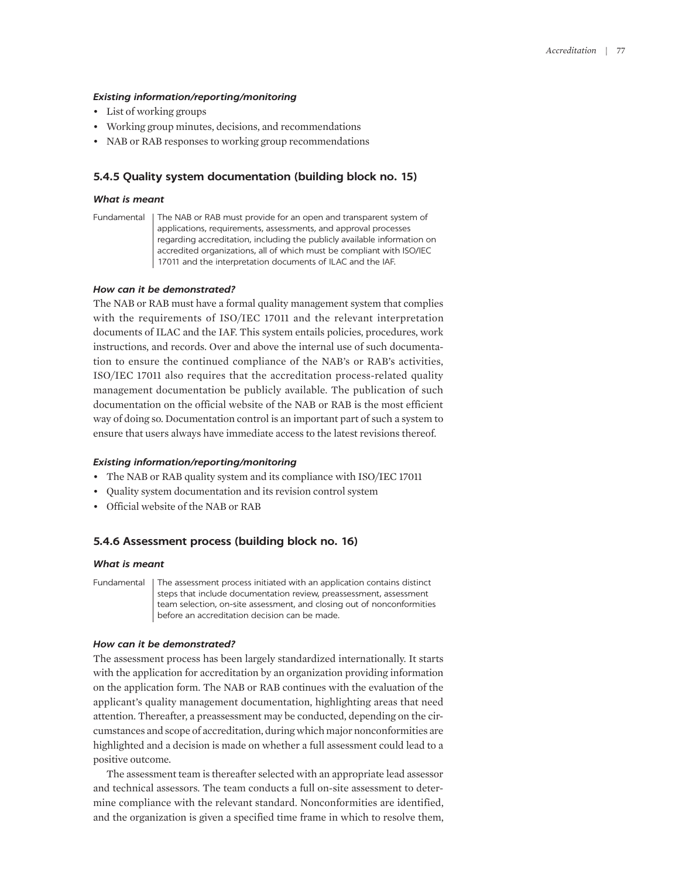- List of working groups
- Working group minutes, decisions, and recommendations
- NAB or RAB responses to working group recommendations

#### **5.4.5 Quality system documentation (building block no. 15)**

#### *What is meant*

Fundamental | The NAB or RAB must provide for an open and transparent system of applications, requirements, assessments, and approval processes regarding accreditation, including the publicly available information on accredited organizations, all of which must be compliant with ISO/IEC 17011 and the interpretation documents of ILAC and the IAF.

#### *How can it be demonstrated?*

The NAB or RAB must have a formal quality management system that complies with the requirements of ISO/IEC 17011 and the relevant interpretation documents of ILAC and the IAF. This system entails policies, procedures, work instructions, and records. Over and above the internal use of such documentation to ensure the continued compliance of the NAB's or RAB's activities, ISO/IEC 17011 also requires that the accreditation process-related quality management documentation be publicly available. The publication of such documentation on the official website of the NAB or RAB is the most efficient way of doing so. Documentation control is an important part of such a system to ensure that users always have immediate access to the latest revisions thereof.

#### *Existing information/reporting/monitoring*

- The NAB or RAB quality system and its compliance with ISO/IEC 17011
- Quality system documentation and its revision control system
- Official website of the NAB or RAB

#### **5.4.6 Assessment process (building block no. 16)**

#### *What is meant*

Fundamental The assessment process initiated with an application contains distinct steps that include documentation review, preassessment, assessment team selection, on-site assessment, and closing out of nonconformities before an accreditation decision can be made.

#### *How can it be demonstrated?*

The assessment process has been largely standardized internationally. It starts with the application for accreditation by an organization providing information on the application form. The NAB or RAB continues with the evaluation of the applicant's quality management documentation, highlighting areas that need attention. Thereafter, a preassessment may be conducted, depending on the circumstances and scope of accreditation, during which major nonconformities are highlighted and a decision is made on whether a full assessment could lead to a positive outcome.

The assessment team is thereafter selected with an appropriate lead assessor and technical assessors. The team conducts a full on-site assessment to determine compliance with the relevant standard. Nonconformities are identified, and the organization is given a specified time frame in which to resolve them,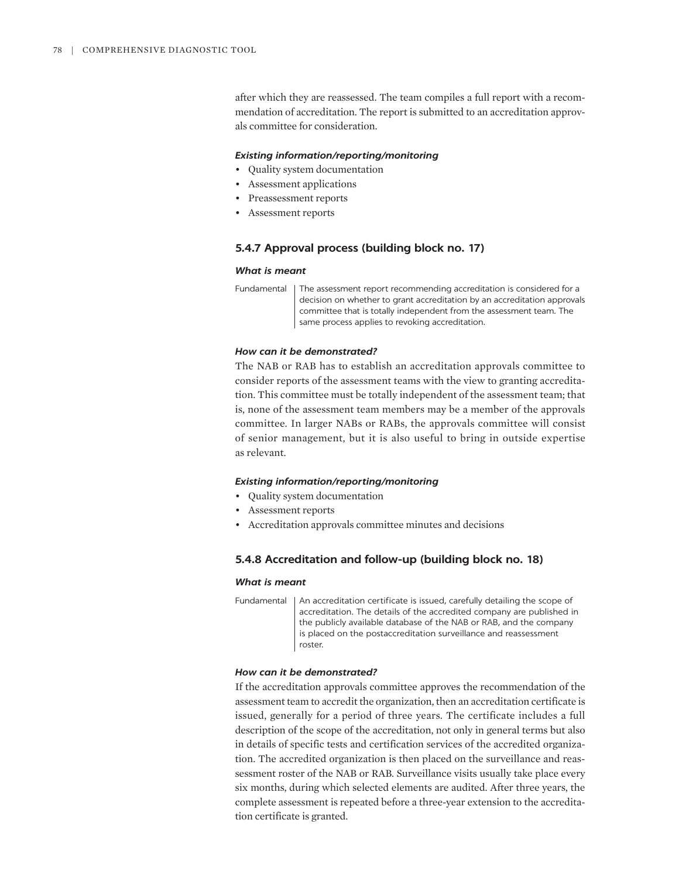after which they are reassessed. The team compiles a full report with a recommendation of accreditation. The report is submitted to an accreditation approvals committee for consideration.

#### *Existing information/reporting/monitoring*

- Quality system documentation
- Assessment applications
- Preassessment reports
- Assessment reports

#### **5.4.7 Approval process (building block no. 17)**

#### *What is meant*

Fundamental | The assessment report recommending accreditation is considered for a decision on whether to grant accreditation by an accreditation approvals committee that is totally independent from the assessment team. The same process applies to revoking accreditation.

#### *How can it be demonstrated?*

The NAB or RAB has to establish an accreditation approvals committee to consider reports of the assessment teams with the view to granting accreditation. This committee must be totally independent of the assessment team; that is, none of the assessment team members may be a member of the approvals committee. In larger NABs or RABs, the approvals committee will consist of senior management, but it is also useful to bring in outside expertise as relevant.

#### *Existing information/reporting/monitoring*

- Quality system documentation
- Assessment reports
- Accreditation approvals committee minutes and decisions

#### **5.4.8 Accreditation and follow-up (building block no. 18)**

#### *What is meant*

Fundamental | An accreditation certificate is issued, carefully detailing the scope of accreditation. The details of the accredited company are published in the publicly available database of the NAB or RAB, and the company is placed on the postaccreditation surveillance and reassessment roster.

#### *How can it be demonstrated?*

If the accreditation approvals committee approves the recommendation of the assessment team to accredit the organization, then an accreditation certificate is issued, generally for a period of three years. The certificate includes a full description of the scope of the accreditation, not only in general terms but also in details of specific tests and certification services of the accredited organization. The accredited organization is then placed on the surveillance and reassessment roster of the NAB or RAB. Surveillance visits usually take place every six months, during which selected elements are audited. After three years, the complete assessment is repeated before a three-year extension to the accreditation certificate is granted.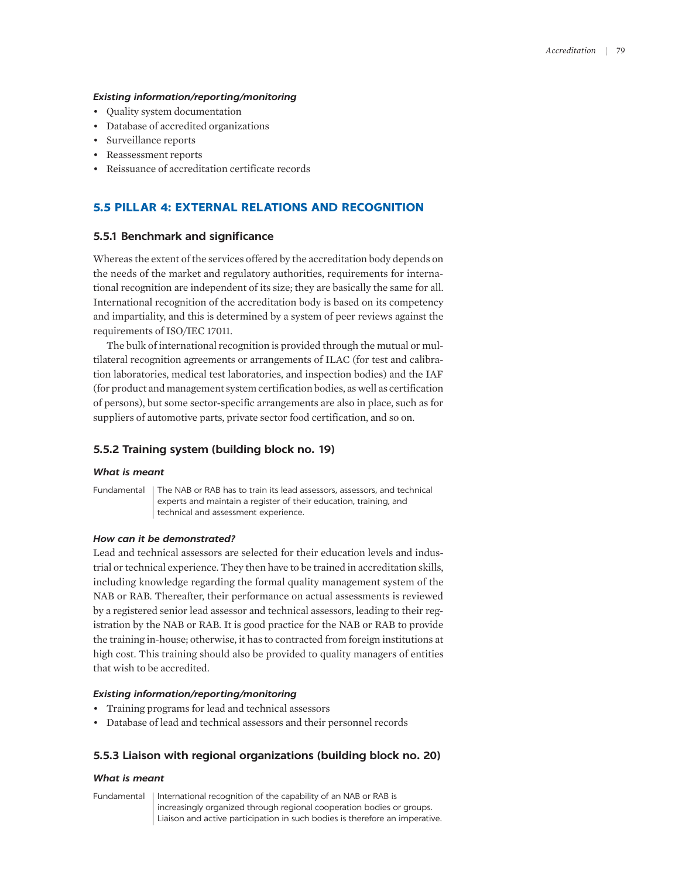- Quality system documentation
- Database of accredited organizations
- Surveillance reports
- Reassessment reports
- Reissuance of accreditation certificate records

#### **5.5 PILLAR 4: EXTERNAL RELATIONS AND RECOGNITION**

#### **5.5.1 Benchmark and significance**

Whereas the extent of the services offered by the accreditation body depends on the needs of the market and regulatory authorities, requirements for international recognition are independent of its size; they are basically the same for all. International recognition of the accreditation body is based on its competency and impartiality, and this is determined by a system of peer reviews against the requirements of ISO/IEC 17011.

The bulk of international recognition is provided through the mutual or multilateral recognition agreements or arrangements of ILAC (for test and calibration laboratories, medical test laboratories, and inspection bodies) and the IAF (for product and management system certification bodies, as well as certification of persons), but some sector-specific arrangements are also in place, such as for suppliers of automotive parts, private sector food certification, and so on.

#### **5.5.2 Training system (building block no. 19)**

#### *What is meant*

Fundamental The NAB or RAB has to train its lead assessors, assessors, and technical experts and maintain a register of their education, training, and technical and assessment experience.

#### *How can it be demonstrated?*

Lead and technical assessors are selected for their education levels and industrial or technical experience. They then have to be trained in accreditation skills, including knowledge regarding the formal quality management system of the NAB or RAB. Thereafter, their performance on actual assessments is reviewed by a registered senior lead assessor and technical assessors, leading to their registration by the NAB or RAB. It is good practice for the NAB or RAB to provide the training in-house; otherwise, it has to contracted from foreign institutions at high cost. This training should also be provided to quality managers of entities that wish to be accredited.

#### *Existing information/reporting/monitoring*

- Training programs for lead and technical assessors
- Database of lead and technical assessors and their personnel records

#### **5.5.3 Liaison with regional organizations (building block no. 20)**

#### *What is meant*

Fundamental | International recognition of the capability of an NAB or RAB is increasingly organized through regional cooperation bodies or groups. Liaison and active participation in such bodies is therefore an imperative.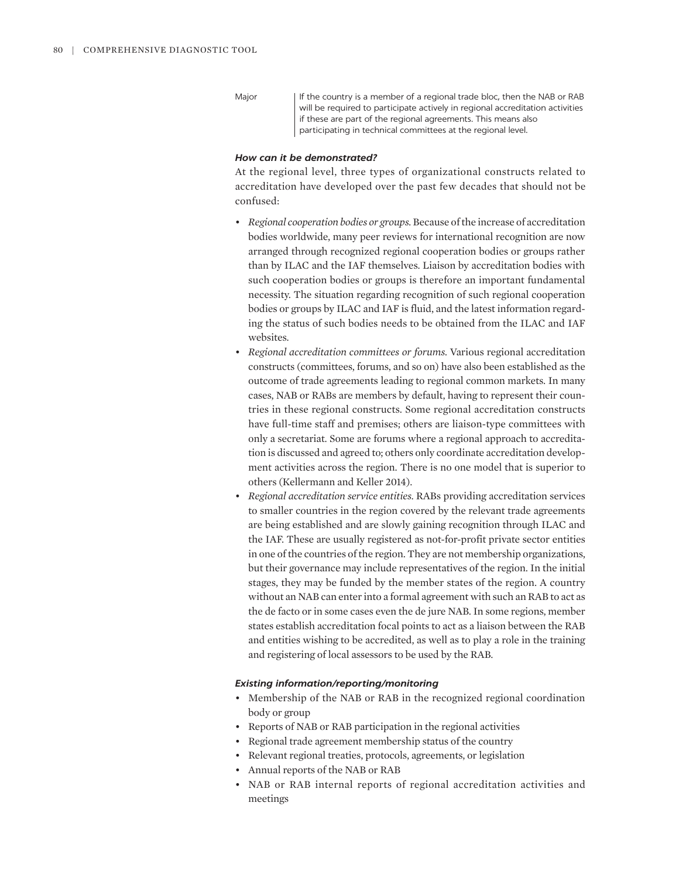Major If the country is a member of a regional trade bloc, then the NAB or RAB will be required to participate actively in regional accreditation activities if these are part of the regional agreements. This means also participating in technical committees at the regional level.

#### *How can it be demonstrated?*

At the regional level, three types of organizational constructs related to accreditation have developed over the past few decades that should not be confused:

- *Regional cooperation bodies or groups.* Because of the increase of accreditation bodies worldwide, many peer reviews for international recognition are now arranged through recognized regional cooperation bodies or groups rather than by ILAC and the IAF themselves. Liaison by accreditation bodies with such cooperation bodies or groups is therefore an important fundamental necessity. The situation regarding recognition of such regional cooperation bodies or groups by ILAC and IAF is fluid, and the latest information regarding the status of such bodies needs to be obtained from the ILAC and IAF websites.
- *Regional accreditation committees or forums.* Various regional accreditation constructs (committees, forums, and so on) have also been established as the outcome of trade agreements leading to regional common markets. In many cases, NAB or RABs are members by default, having to represent their countries in these regional constructs. Some regional accreditation constructs have full-time staff and premises; others are liaison-type committees with only a secretariat. Some are forums where a regional approach to accreditation is discussed and agreed to; others only coordinate accreditation development activities across the region. There is no one model that is superior to others (Kellermann and Keller 2014).
- *Regional accreditation service entities.* RABs providing accreditation services to smaller countries in the region covered by the relevant trade agreements are being established and are slowly gaining recognition through ILAC and the IAF. These are usually registered as not-for-profit private sector entities in one of the countries of the region. They are not membership organizations, but their governance may include representatives of the region. In the initial stages, they may be funded by the member states of the region. A country without an NAB can enter into a formal agreement with such an RAB to act as the de facto or in some cases even the de jure NAB. In some regions, member states establish accreditation focal points to act as a liaison between the RAB and entities wishing to be accredited, as well as to play a role in the training and registering of local assessors to be used by the RAB.

#### *Existing information/reporting/monitoring*

- Membership of the NAB or RAB in the recognized regional coordination body or group
- Reports of NAB or RAB participation in the regional activities
- Regional trade agreement membership status of the country
- Relevant regional treaties, protocols, agreements, or legislation
- Annual reports of the NAB or RAB
- NAB or RAB internal reports of regional accreditation activities and meetings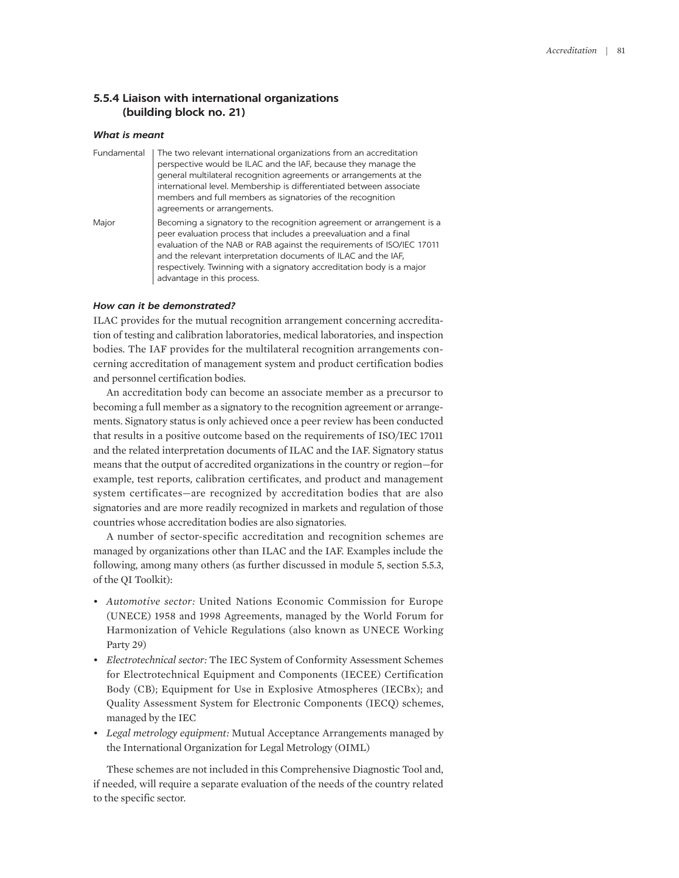#### **5.5.4 Liaison with international organizations (building block no. 21)**

#### *What is meant*

| Fundamental | The two relevant international organizations from an accreditation<br>perspective would be ILAC and the IAF, because they manage the<br>general multilateral recognition agreements or arrangements at the<br>international level. Membership is differentiated between associate<br>members and full members as signatories of the recognition<br>agreements or arrangements.                |
|-------------|-----------------------------------------------------------------------------------------------------------------------------------------------------------------------------------------------------------------------------------------------------------------------------------------------------------------------------------------------------------------------------------------------|
| Major       | Becoming a signatory to the recognition agreement or arrangement is a<br>peer evaluation process that includes a preevaluation and a final<br>evaluation of the NAB or RAB against the requirements of ISO/IEC 17011<br>and the relevant interpretation documents of ILAC and the IAF,<br>respectively. Twinning with a signatory accreditation body is a major<br>advantage in this process. |

#### *How can it be demonstrated?*

ILAC provides for the mutual recognition arrangement concerning accreditation of testing and calibration laboratories, medical laboratories, and inspection bodies. The IAF provides for the multilateral recognition arrangements concerning accreditation of management system and product certification bodies and personnel certification bodies.

An accreditation body can become an associate member as a precursor to becoming a full member as a signatory to the recognition agreement or arrangements. Signatory status is only achieved once a peer review has been conducted that results in a positive outcome based on the requirements of ISO/IEC 17011 and the related interpretation documents of ILAC and the IAF. Signatory status means that the output of accredited organizations in the country or region—for example, test reports, calibration certificates, and product and management system certificates—are recognized by accreditation bodies that are also signatories and are more readily recognized in markets and regulation of those countries whose accreditation bodies are also signatories.

A number of sector-specific accreditation and recognition schemes are managed by organizations other than ILAC and the IAF. Examples include the following, among many others (as further discussed in module 5, section 5.5.3, of the QI Toolkit):

- *Automotive sector:* United Nations Economic Commission for Europe (UNECE) 1958 and 1998 Agreements, managed by the World Forum for Harmonization of Vehicle Regulations (also known as UNECE Working Party 29)
- *Electrotechnical sector:* The IEC System of Conformity Assessment Schemes for Electrotechnical Equipment and Components (IECEE) Certification Body (CB); Equipment for Use in Explosive Atmospheres (IECBx); and Quality Assessment System for Electronic Components (IECQ) schemes, managed by the IEC
- *Legal metrology equipment:* Mutual Acceptance Arrangements managed by the International Organization for Legal Metrology (OIML)

These schemes are not included in this Comprehensive Diagnostic Tool and, if needed, will require a separate evaluation of the needs of the country related to the specific sector.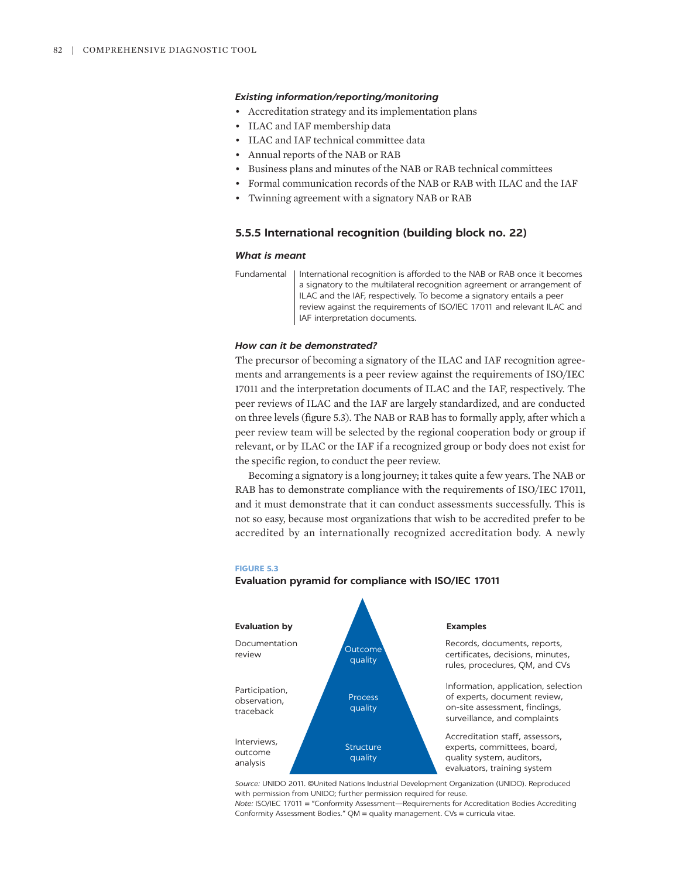- Accreditation strategy and its implementation plans
- ILAC and IAF membership data
- ILAC and IAF technical committee data
- Annual reports of the NAB or RAB
- Business plans and minutes of the NAB or RAB technical committees
- Formal communication records of the NAB or RAB with ILAC and the IAF
- Twinning agreement with a signatory NAB or RAB

#### **5.5.5 International recognition (building block no. 22)**

#### *What is meant*

Fundamental | International recognition is afforded to the NAB or RAB once it becomes a signatory to the multilateral recognition agreement or arrangement of ILAC and the IAF, respectively. To become a signatory entails a peer review against the requirements of ISO/IEC 17011 and relevant ILAC and IAF interpretation documents.

#### *How can it be demonstrated?*

The precursor of becoming a signatory of the ILAC and IAF recognition agreements and arrangements is a peer review against the requirements of ISO/IEC 17011 and the interpretation documents of ILAC and the IAF, respectively. The peer reviews of ILAC and the IAF are largely standardized, and are conducted on three levels (figure 5.3). The NAB or RAB has to formally apply, after which a peer review team will be selected by the regional cooperation body or group if relevant, or by ILAC or the IAF if a recognized group or body does not exist for the specific region, to conduct the peer review.

Becoming a signatory is a long journey; it takes quite a few years. The NAB or RAB has to demonstrate compliance with the requirements of ISO/IEC 17011, and it must demonstrate that it can conduct assessments successfully. This is not so easy, because most organizations that wish to be accredited prefer to be accredited by an internationally recognized accreditation body. A newly

#### **FIGURE 5.3**



#### **Evaluation pyramid for compliance with ISO/IEC 17011**

*Source:* UNIDO 2011. ©United Nations Industrial Development Organization (UNIDO). Reproduced with permission from UNIDO; further permission required for reuse.

*Note:* ISO/IEC 17011 = "Conformity Assessment—Requirements for Accreditation Bodies Accrediting Conformity Assessment Bodies." QM = quality management. CVs = curricula vitae.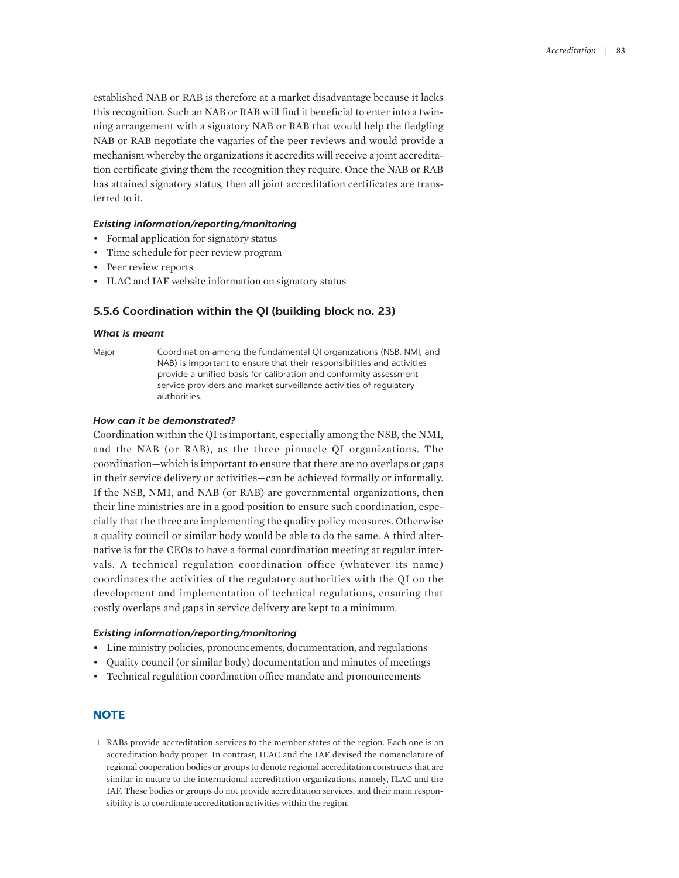established NAB or RAB is therefore at a market disadvantage because it lacks this recognition. Such an NAB or RAB will find it beneficial to enter into a twinning arrangement with a signatory NAB or RAB that would help the fledgling NAB or RAB negotiate the vagaries of the peer reviews and would provide a mechanism whereby the organizations it accredits will receive a joint accreditation certificate giving them the recognition they require. Once the NAB or RAB has attained signatory status, then all joint accreditation certificates are transferred to it.

#### *Existing information/reporting/monitoring*

- Formal application for signatory status
- Time schedule for peer review program
- Peer review reports
- ILAC and IAF website information on signatory status

#### **5.5.6 Coordination within the QI (building block no. 23)**

#### *What is meant*

Major | Coordination among the fundamental QI organizations (NSB, NMI, and NAB) is important to ensure that their responsibilities and activities provide a unified basis for calibration and conformity assessment service providers and market surveillance activities of regulatory authorities.

#### *How can it be demonstrated?*

Coordination within the QI is important, especially among the NSB, the NMI, and the NAB (or RAB), as the three pinnacle QI organizations. The coordination—which is important to ensure that there are no overlaps or gaps in their service delivery or activities—can be achieved formally or informally. If the NSB, NMI, and NAB (or RAB) are governmental organizations, then their line ministries are in a good position to ensure such coordination, especially that the three are implementing the quality policy measures. Otherwise a quality council or similar body would be able to do the same. A third alternative is for the CEOs to have a formal coordination meeting at regular intervals. A technical regulation coordination office (whatever its name) coordinates the activities of the regulatory authorities with the QI on the development and implementation of technical regulations, ensuring that costly overlaps and gaps in service delivery are kept to a minimum.

#### *Existing information/reporting/monitoring*

- Line ministry policies, pronouncements, documentation, and regulations
- Quality council (or similar body) documentation and minutes of meetings
- Technical regulation coordination office mandate and pronouncements

#### **NOTE**

<span id="page-20-0"></span>[1.](#page-3-0) [RABs provide](#page-3-0) [accreditation](#page-3-0) [services to](#page-3-0) [the member](#page-3-0) [states](#page-3-0) [of](#page-3-0) [the region.](#page-3-0) [Each one is](#page-3-0) [an](#page-3-0) [accreditation](#page-3-0) [body](#page-3-0) [proper. In contrast, ILAC and](#page-3-0) [the IAF devised](#page-3-0) [the nomenclature of](#page-3-0)  [regional cooperation bodies or groups to denote regional](#page-3-0) [accreditation constructs](#page-3-0) [that are](#page-3-0)  [similar](#page-3-0) [in](#page-3-0) [nature to the international](#page-3-0) [accreditation](#page-3-0) [organizations, namely, ILAC and the](#page-3-0)  [IAF. These bodies or](#page-3-0) [groups](#page-3-0) [do not provide accreditation services,](#page-3-0) [and their main respon](#page-3-0)[sibility](#page-3-0) [is to coordinate accreditation activities within the region.](#page-3-0)